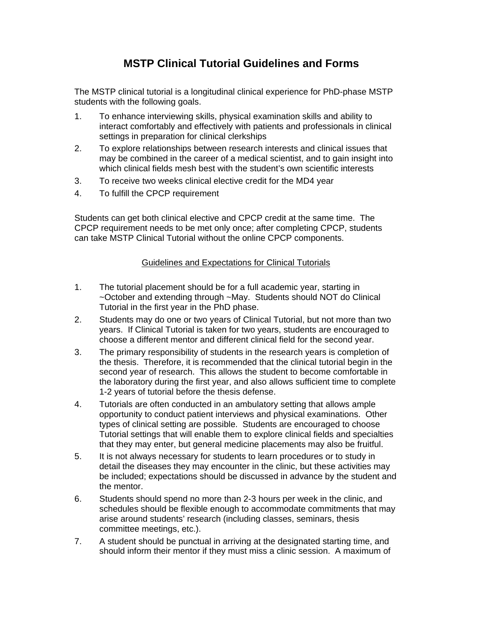## **MSTP Clinical Tutorial Guidelines and Forms**

The MSTP clinical tutorial is a longitudinal clinical experience for PhD-phase MSTP students with the following goals.

- 1. To enhance interviewing skills, physical examination skills and ability to interact comfortably and effectively with patients and professionals in clinical settings in preparation for clinical clerkships
- 2. To explore relationships between research interests and clinical issues that may be combined in the career of a medical scientist, and to gain insight into which clinical fields mesh best with the student's own scientific interests
- 3. To receive two weeks clinical elective credit for the MD4 year
- 4. To fulfill the CPCP requirement

Students can get both clinical elective and CPCP credit at the same time. The CPCP requirement needs to be met only once; after completing CPCP, students can take MSTP Clinical Tutorial without the online CPCP components.

### Guidelines and Expectations for Clinical Tutorials

- 1. The tutorial placement should be for a full academic year, starting in ~October and extending through ~May. Students should NOT do Clinical Tutorial in the first year in the PhD phase.
- 2. Students may do one or two years of Clinical Tutorial, but not more than two years. If Clinical Tutorial is taken for two years, students are encouraged to choose a different mentor and different clinical field for the second year.
- 3. The primary responsibility of students in the research years is completion of the thesis. Therefore, it is recommended that the clinical tutorial begin in the second year of research. This allows the student to become comfortable in the laboratory during the first year, and also allows sufficient time to complete 1-2 years of tutorial before the thesis defense.
- 4. Tutorials are often conducted in an ambulatory setting that allows ample opportunity to conduct patient interviews and physical examinations. Other types of clinical setting are possible. Students are encouraged to choose Tutorial settings that will enable them to explore clinical fields and specialties that they may enter, but general medicine placements may also be fruitful.
- 5. It is not always necessary for students to learn procedures or to study in detail the diseases they may encounter in the clinic, but these activities may be included; expectations should be discussed in advance by the student and the mentor.
- 6. Students should spend no more than 2-3 hours per week in the clinic, and schedules should be flexible enough to accommodate commitments that may arise around students' research (including classes, seminars, thesis committee meetings, etc.).
- 7. A student should be punctual in arriving at the designated starting time, and should inform their mentor if they must miss a clinic session. A maximum of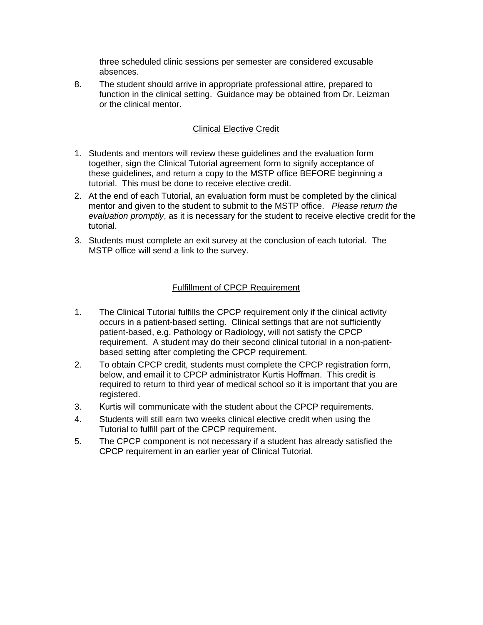three scheduled clinic sessions per semester are considered excusable absences.

8. The student should arrive in appropriate professional attire, prepared to function in the clinical setting. Guidance may be obtained from Dr. Leizman or the clinical mentor.

### Clinical Elective Credit

- 1. Students and mentors will review these guidelines and the evaluation form together, sign the Clinical Tutorial agreement form to signify acceptance of these guidelines, and return a copy to the MSTP office BEFORE beginning a tutorial. This must be done to receive elective credit.
- 2. At the end of each Tutorial, an evaluation form must be completed by the clinical mentor and given to the student to submit to the MSTP office. *Please return the evaluation promptly*, as it is necessary for the student to receive elective credit for the tutorial.
- 3. Students must complete an exit survey at the conclusion of each tutorial. The MSTP office will send a link to the survey.

### Fulfillment of CPCP Requirement

- 1. The Clinical Tutorial fulfills the CPCP requirement only if the clinical activity occurs in a patient-based setting. Clinical settings that are not sufficiently patient-based, e.g. Pathology or Radiology, will not satisfy the CPCP requirement. A student may do their second clinical tutorial in a non-patientbased setting after completing the CPCP requirement.
- 2. To obtain CPCP credit, students must complete the CPCP registration form, below, and email it to CPCP administrator Kurtis Hoffman. This credit is required to return to third year of medical school so it is important that you are registered.
- 3. Kurtis will communicate with the student about the CPCP requirements.
- 4. Students will still earn two weeks clinical elective credit when using the Tutorial to fulfill part of the CPCP requirement.
- 5. The CPCP component is not necessary if a student has already satisfied the CPCP requirement in an earlier year of Clinical Tutorial.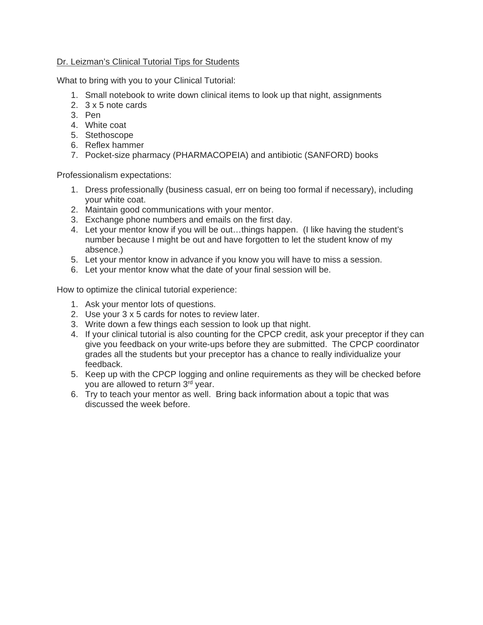### Dr. Leizman's Clinical Tutorial Tips for Students

What to bring with you to your Clinical Tutorial:

- 1. Small notebook to write down clinical items to look up that night, assignments
- 2. 3 x 5 note cards
- 3. Pen
- 4. White coat
- 5. Stethoscope
- 6. Reflex hammer
- 7. Pocket-size pharmacy (PHARMACOPEIA) and antibiotic (SANFORD) books

Professionalism expectations:

- 1. Dress professionally (business casual, err on being too formal if necessary), including your white coat.
- 2. Maintain good communications with your mentor.
- 3. Exchange phone numbers and emails on the first day.
- 4. Let your mentor know if you will be out…things happen. (I like having the student's number because I might be out and have forgotten to let the student know of my absence.)
- 5. Let your mentor know in advance if you know you will have to miss a session.
- 6. Let your mentor know what the date of your final session will be.

How to optimize the clinical tutorial experience:

- 1. Ask your mentor lots of questions.
- 2. Use your 3 x 5 cards for notes to review later.
- 3. Write down a few things each session to look up that night.
- 4. If your clinical tutorial is also counting for the CPCP credit, ask your preceptor if they can give you feedback on your write-ups before they are submitted. The CPCP coordinator grades all the students but your preceptor has a chance to really individualize your feedback.
- 5. Keep up with the CPCP logging and online requirements as they will be checked before you are allowed to return 3rd year.
- 6. Try to teach your mentor as well. Bring back information about a topic that was discussed the week before.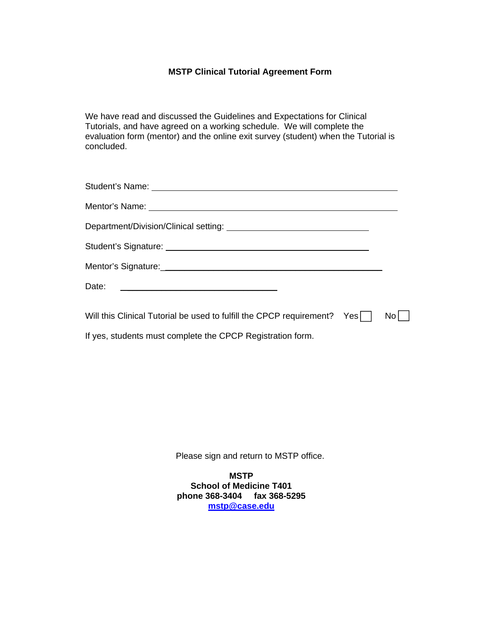### **MSTP Clinical Tutorial Agreement Form**

We have read and discussed the Guidelines and Expectations for Clinical Tutorials, and have agreed on a working schedule. We will complete the evaluation form (mentor) and the online exit survey (student) when the Tutorial is concluded.

| Mentor's Name: <u>example and the set of the set of the set of the set of the set of the set of the set of the set of the set of the set of the set of the set of the set of the set of the set of the set of the set of the set</u> |     |
|--------------------------------------------------------------------------------------------------------------------------------------------------------------------------------------------------------------------------------------|-----|
|                                                                                                                                                                                                                                      |     |
|                                                                                                                                                                                                                                      |     |
|                                                                                                                                                                                                                                      |     |
| Date:<br><u> 1980 - Andrea Barbara, martin da basar da basar da basar da basar da basar da basar da basar da basar da basa</u>                                                                                                       |     |
| Will this Clinical Tutorial be used to fulfill the CPCP requirement? Yes                                                                                                                                                             | No. |

If yes, students must complete the CPCP Registration form.

Please sign and return to MSTP office.

**MSTP School of Medicine T401 phone 368-3404 fax 368-5295 mstp@case.edu**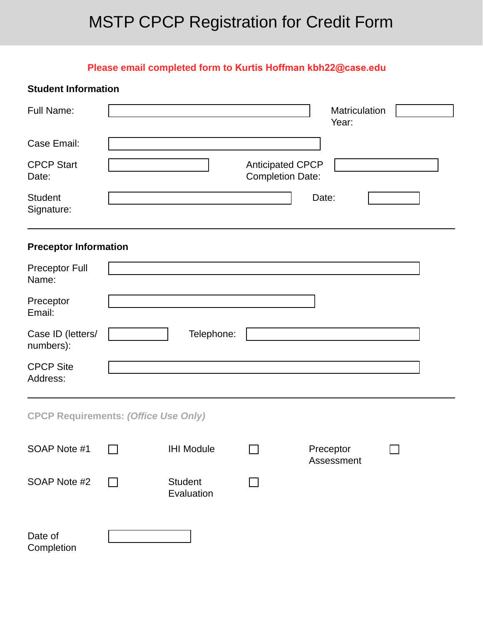# MSTP CPCP Registration for Credit Form

## **Please email completed form to Kurtis Hoffman kbh22@case.edu**

| <b>Student Information</b>                  |                              |                                                    |                         |  |
|---------------------------------------------|------------------------------|----------------------------------------------------|-------------------------|--|
| <b>Full Name:</b>                           |                              |                                                    | Matriculation<br>Year:  |  |
| Case Email:                                 |                              |                                                    |                         |  |
| <b>CPCP Start</b><br>Date:                  |                              | <b>Anticipated CPCP</b><br><b>Completion Date:</b> |                         |  |
| <b>Student</b><br>Signature:                |                              |                                                    | Date:                   |  |
| <b>Preceptor Information</b>                |                              |                                                    |                         |  |
| <b>Preceptor Full</b><br>Name:              |                              |                                                    |                         |  |
| Preceptor<br>Email:                         |                              |                                                    |                         |  |
| Case ID (letters/<br>numbers):              | Telephone:                   |                                                    |                         |  |
| <b>CPCP Site</b><br>Address:                |                              |                                                    |                         |  |
| <b>CPCP Requirements: (Office Use Only)</b> |                              |                                                    |                         |  |
| SOAP Note #1                                | <b>IHI Module</b>            |                                                    | Preceptor<br>Assessment |  |
| SOAP Note #2                                | <b>Student</b><br>Evaluation |                                                    |                         |  |
| Date of<br>Completion                       |                              |                                                    |                         |  |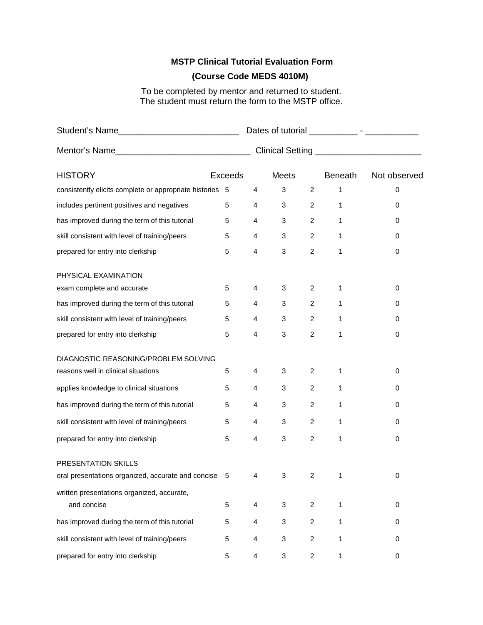### **MSTP Clinical Tutorial Evaluation Form**

### **(Course Code MEDS 4010M)**

To be completed by mentor and returned to student. The student must return the form to the MSTP office.

|                                                                                  |                |   | Clinical Setting ____________________________ |                |                |              |  |  |
|----------------------------------------------------------------------------------|----------------|---|-----------------------------------------------|----------------|----------------|--------------|--|--|
| <b>HISTORY</b>                                                                   | <b>Exceeds</b> |   | <b>Meets</b>                                  |                | <b>Beneath</b> | Not observed |  |  |
| consistently elicits complete or appropriate histories 5                         |                | 4 | 3                                             | 2              | 1              | 0            |  |  |
| includes pertinent positives and negatives                                       | 5              | 4 | 3                                             | $\overline{2}$ | 1              | 0            |  |  |
| has improved during the term of this tutorial                                    | 5              | 4 | 3                                             | 2              | 1              | 0            |  |  |
| skill consistent with level of training/peers                                    | 5              | 4 | 3                                             | $\overline{2}$ | $\mathbf{1}$   | 0            |  |  |
| prepared for entry into clerkship                                                | 5              | 4 | 3                                             | $\overline{c}$ | 1              | 0            |  |  |
| PHYSICAL EXAMINATION<br>exam complete and accurate                               | 5              | 4 | 3                                             | 2              | 1              | 0            |  |  |
| has improved during the term of this tutorial                                    | 5              | 4 | 3                                             | $\overline{c}$ | 1              | 0            |  |  |
| skill consistent with level of training/peers                                    | 5              | 4 | 3                                             | $\overline{2}$ | 1              | 0            |  |  |
| prepared for entry into clerkship                                                | 5              | 4 | 3                                             | 2              | 1              | 0            |  |  |
| DIAGNOSTIC REASONING/PROBLEM SOLVING                                             |                |   |                                               |                |                |              |  |  |
| reasons well in clinical situations                                              | 5              | 4 | 3                                             | 2              | 1              | 0            |  |  |
| applies knowledge to clinical situations                                         | 5              | 4 | 3                                             | $\overline{c}$ | 1              | 0            |  |  |
| has improved during the term of this tutorial                                    | 5              | 4 | 3                                             | $\overline{c}$ | 1              | 0            |  |  |
| skill consistent with level of training/peers                                    | 5              | 4 | 3                                             | $\overline{c}$ | 1              | 0            |  |  |
| prepared for entry into clerkship                                                | 5              | 4 | 3                                             | 2              | 1              | 0            |  |  |
| <b>PRESENTATION SKILLS</b><br>oral presentations organized, accurate and concise | 5              | 4 | 3                                             | 2              | 1              | 0            |  |  |
| written presentations organized, accurate,<br>and concise                        | 5              | 4 | 3                                             | $\overline{c}$ | 1              | 0            |  |  |
| has improved during the term of this tutorial                                    | 5              | 4 | 3                                             | $\overline{c}$ | 1              | 0            |  |  |
| skill consistent with level of training/peers                                    | 5              | 4 | 3                                             | $\overline{c}$ | 1              | 0            |  |  |
| prepared for entry into clerkship                                                | 5              | 4 | 3                                             | $\overline{c}$ | 1              | 0            |  |  |